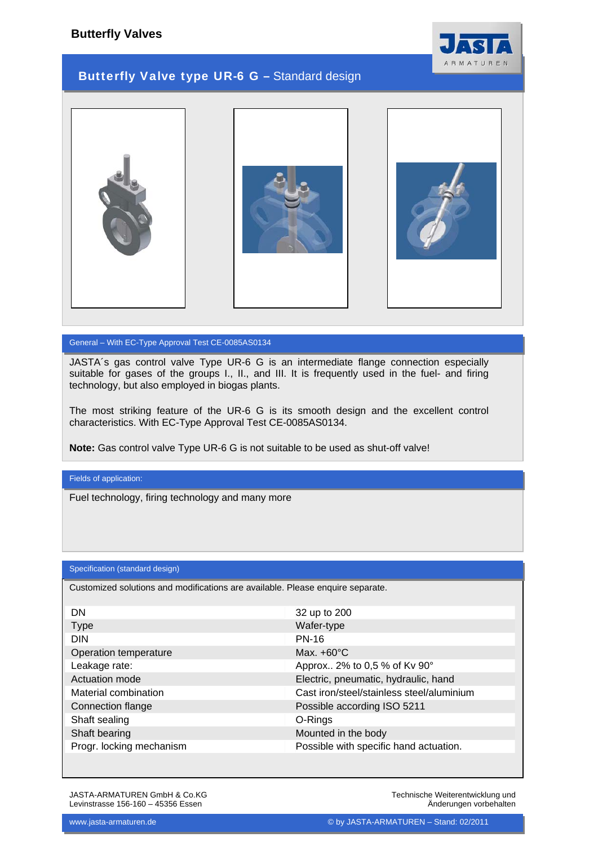



## General – With EC-Type Approval Test CE-0085AS0134

JASTA´s gas control valve Type UR-6 G is an intermediate flange connection especially suitable for gases of the groups I., II., and III. It is frequently used in the fuel- and firing technology, but also employed in biogas plants.

The most striking feature of the UR-6 G is its smooth design and the excellent control characteristics. With EC-Type Approval Test CE-0085AS0134.

**Note:** Gas control valve Type UR-6 G is not suitable to be used as shut-off valve!

Fields of application:

Fuel technology, firing technology and many more

## Specification (standard design)

Customized solutions and modifications are available. Please enquire separate.

| DN                       | 32 up to 200                              |
|--------------------------|-------------------------------------------|
| <b>Type</b>              | Wafer-type                                |
| <b>DIN</b>               | <b>PN-16</b>                              |
| Operation temperature    | Max. $+60^{\circ}$ C                      |
| Leakage rate:            | Approx 2% to 0,5 % of Kv 90°              |
| Actuation mode           | Electric, pneumatic, hydraulic, hand      |
| Material combination     | Cast iron/steel/stainless steel/aluminium |
| Connection flange        | Possible according ISO 5211               |
| Shaft sealing            | O-Rings                                   |
| Shaft bearing            | Mounted in the body                       |
| Progr. locking mechanism | Possible with specific hand actuation.    |

JASTA-ARMATUREN GmbH & Co.KG Levinstrasse 156-160 – 45356 Essen

Technische Weiterentwicklung und Änderungen vorbehalten

ARMA